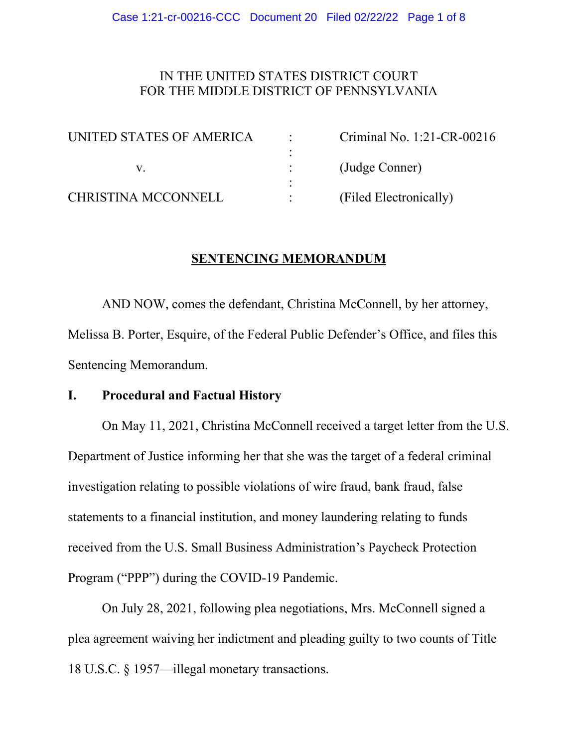# IN THE UNITED STATES DISTRICT COURT FOR THE MIDDLE DISTRICT OF PENNSYLVANIA

| UNITED STATES OF AMERICA | Criminal No. 1:21-CR-00216 |
|--------------------------|----------------------------|
|                          |                            |
|                          | (Judge Conner)             |
|                          |                            |
| CHRISTINA MCCONNELL      | (Filed Electronically)     |

# **SENTENCING MEMORANDUM**

AND NOW, comes the defendant, Christina McConnell, by her attorney, Melissa B. Porter, Esquire, of the Federal Public Defender's Office, and files this Sentencing Memorandum.

### **I. Procedural and Factual History**

On May 11, 2021, Christina McConnell received a target letter from the U.S. Department of Justice informing her that she was the target of a federal criminal investigation relating to possible violations of wire fraud, bank fraud, false statements to a financial institution, and money laundering relating to funds received from the U.S. Small Business Administration's Paycheck Protection Program ("PPP") during the COVID-19 Pandemic.

On July 28, 2021, following plea negotiations, Mrs. McConnell signed a plea agreement waiving her indictment and pleading guilty to two counts of Title 18 U.S.C. § 1957—illegal monetary transactions.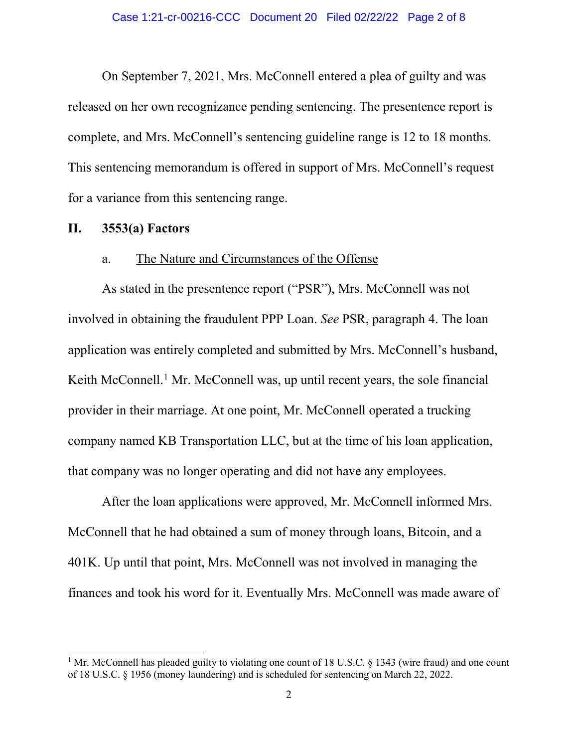On September 7, 2021, Mrs. McConnell entered a plea of guilty and was released on her own recognizance pending sentencing. The presentence report is complete, and Mrs. McConnell's sentencing guideline range is 12 to 18 months. This sentencing memorandum is offered in support of Mrs. McConnell's request for a variance from this sentencing range.

#### **II. 3553(a) Factors**

### a. The Nature and Circumstances of the Offense

As stated in the presentence report ("PSR"), Mrs. McConnell was not involved in obtaining the fraudulent PPP Loan. *See* PSR, paragraph 4. The loan application was entirely completed and submitted by Mrs. McConnell's husband, Keith McConnell.<sup>[1](#page-1-0)</sup> Mr. McConnell was, up until recent years, the sole financial provider in their marriage. At one point, Mr. McConnell operated a trucking company named KB Transportation LLC, but at the time of his loan application, that company was no longer operating and did not have any employees.

After the loan applications were approved, Mr. McConnell informed Mrs. McConnell that he had obtained a sum of money through loans, Bitcoin, and a 401K. Up until that point, Mrs. McConnell was not involved in managing the finances and took his word for it. Eventually Mrs. McConnell was made aware of

<span id="page-1-0"></span><sup>&</sup>lt;sup>1</sup> Mr. McConnell has pleaded guilty to violating one count of 18 U.S.C. § 1343 (wire fraud) and one count of 18 U.S.C. § 1956 (money laundering) and is scheduled for sentencing on March 22, 2022.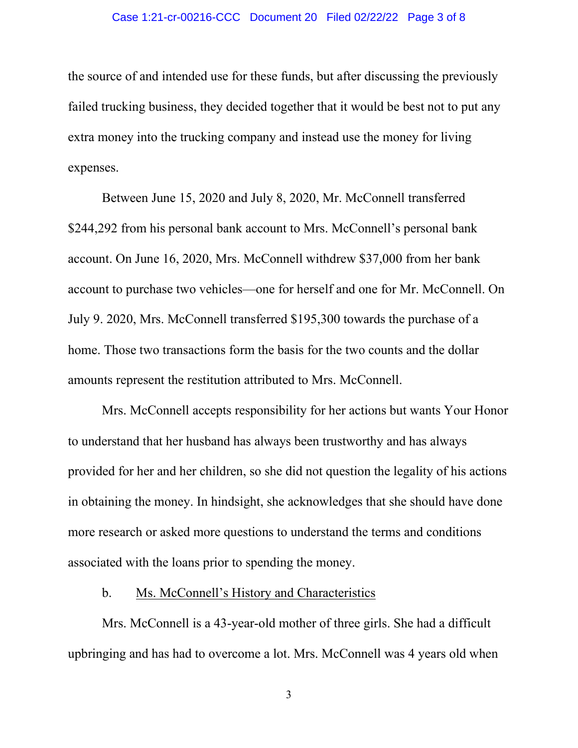#### Case 1:21-cr-00216-CCC Document 20 Filed 02/22/22 Page 3 of 8

the source of and intended use for these funds, but after discussing the previously failed trucking business, they decided together that it would be best not to put any extra money into the trucking company and instead use the money for living expenses.

Between June 15, 2020 and July 8, 2020, Mr. McConnell transferred \$244,292 from his personal bank account to Mrs. McConnell's personal bank account. On June 16, 2020, Mrs. McConnell withdrew \$37,000 from her bank account to purchase two vehicles—one for herself and one for Mr. McConnell. On July 9. 2020, Mrs. McConnell transferred \$195,300 towards the purchase of a home. Those two transactions form the basis for the two counts and the dollar amounts represent the restitution attributed to Mrs. McConnell.

Mrs. McConnell accepts responsibility for her actions but wants Your Honor to understand that her husband has always been trustworthy and has always provided for her and her children, so she did not question the legality of his actions in obtaining the money. In hindsight, she acknowledges that she should have done more research or asked more questions to understand the terms and conditions associated with the loans prior to spending the money.

### b. Ms. McConnell's History and Characteristics

Mrs. McConnell is a 43-year-old mother of three girls. She had a difficult upbringing and has had to overcome a lot. Mrs. McConnell was 4 years old when

3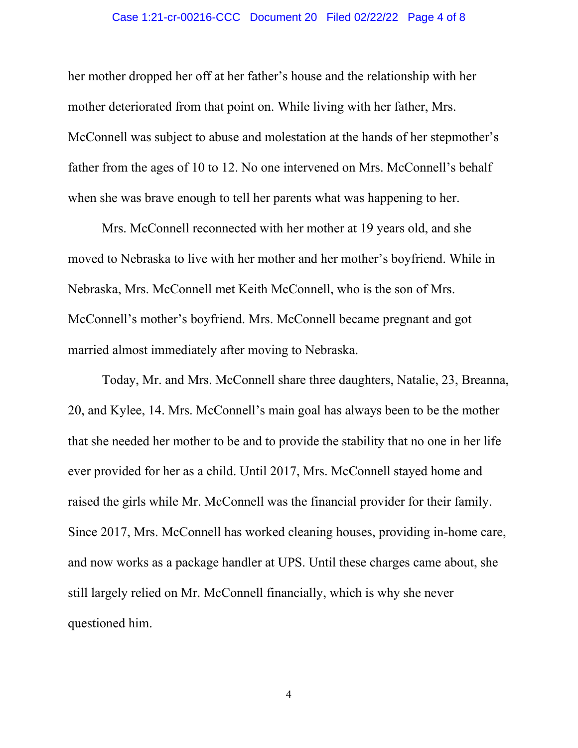#### Case 1:21-cr-00216-CCC Document 20 Filed 02/22/22 Page 4 of 8

her mother dropped her off at her father's house and the relationship with her mother deteriorated from that point on. While living with her father, Mrs. McConnell was subject to abuse and molestation at the hands of her stepmother's father from the ages of 10 to 12. No one intervened on Mrs. McConnell's behalf when she was brave enough to tell her parents what was happening to her.

Mrs. McConnell reconnected with her mother at 19 years old, and she moved to Nebraska to live with her mother and her mother's boyfriend. While in Nebraska, Mrs. McConnell met Keith McConnell, who is the son of Mrs. McConnell's mother's boyfriend. Mrs. McConnell became pregnant and got married almost immediately after moving to Nebraska.

Today, Mr. and Mrs. McConnell share three daughters, Natalie, 23, Breanna, 20, and Kylee, 14. Mrs. McConnell's main goal has always been to be the mother that she needed her mother to be and to provide the stability that no one in her life ever provided for her as a child. Until 2017, Mrs. McConnell stayed home and raised the girls while Mr. McConnell was the financial provider for their family. Since 2017, Mrs. McConnell has worked cleaning houses, providing in-home care, and now works as a package handler at UPS. Until these charges came about, she still largely relied on Mr. McConnell financially, which is why she never questioned him.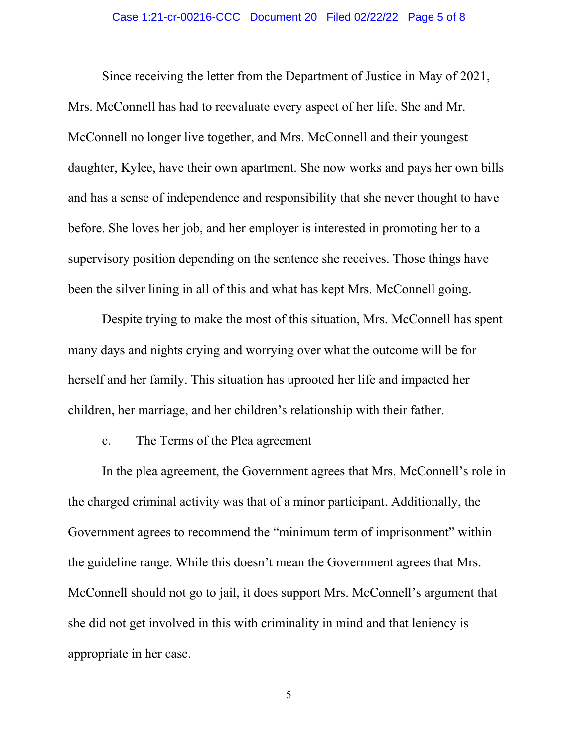#### Case 1:21-cr-00216-CCC Document 20 Filed 02/22/22 Page 5 of 8

Since receiving the letter from the Department of Justice in May of 2021, Mrs. McConnell has had to reevaluate every aspect of her life. She and Mr. McConnell no longer live together, and Mrs. McConnell and their youngest daughter, Kylee, have their own apartment. She now works and pays her own bills and has a sense of independence and responsibility that she never thought to have before. She loves her job, and her employer is interested in promoting her to a supervisory position depending on the sentence she receives. Those things have been the silver lining in all of this and what has kept Mrs. McConnell going.

Despite trying to make the most of this situation, Mrs. McConnell has spent many days and nights crying and worrying over what the outcome will be for herself and her family. This situation has uprooted her life and impacted her children, her marriage, and her children's relationship with their father.

#### c. The Terms of the Plea agreement

In the plea agreement, the Government agrees that Mrs. McConnell's role in the charged criminal activity was that of a minor participant. Additionally, the Government agrees to recommend the "minimum term of imprisonment" within the guideline range. While this doesn't mean the Government agrees that Mrs. McConnell should not go to jail, it does support Mrs. McConnell's argument that she did not get involved in this with criminality in mind and that leniency is appropriate in her case.

5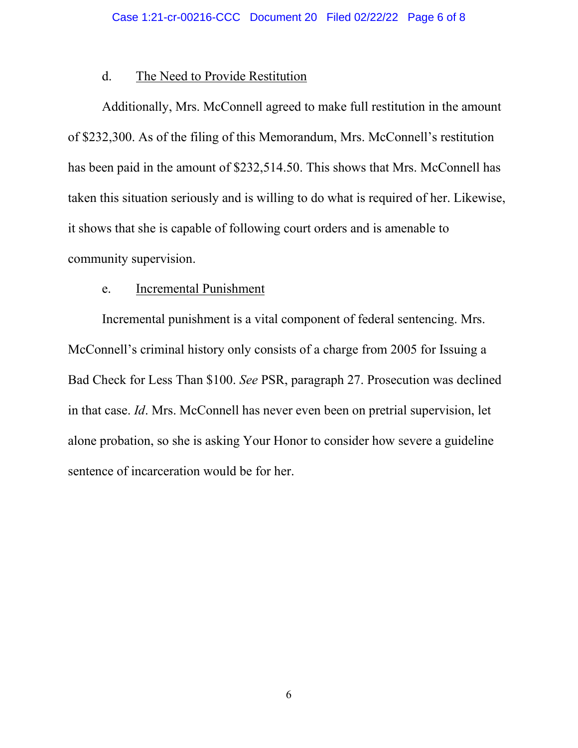### d. The Need to Provide Restitution

Additionally, Mrs. McConnell agreed to make full restitution in the amount of \$232,300. As of the filing of this Memorandum, Mrs. McConnell's restitution has been paid in the amount of \$232,514.50. This shows that Mrs. McConnell has taken this situation seriously and is willing to do what is required of her. Likewise, it shows that she is capable of following court orders and is amenable to community supervision.

### e. Incremental Punishment

Incremental punishment is a vital component of federal sentencing. Mrs. McConnell's criminal history only consists of a charge from 2005 for Issuing a Bad Check for Less Than \$100. *See* PSR, paragraph 27. Prosecution was declined in that case. *Id*. Mrs. McConnell has never even been on pretrial supervision, let alone probation, so she is asking Your Honor to consider how severe a guideline sentence of incarceration would be for her.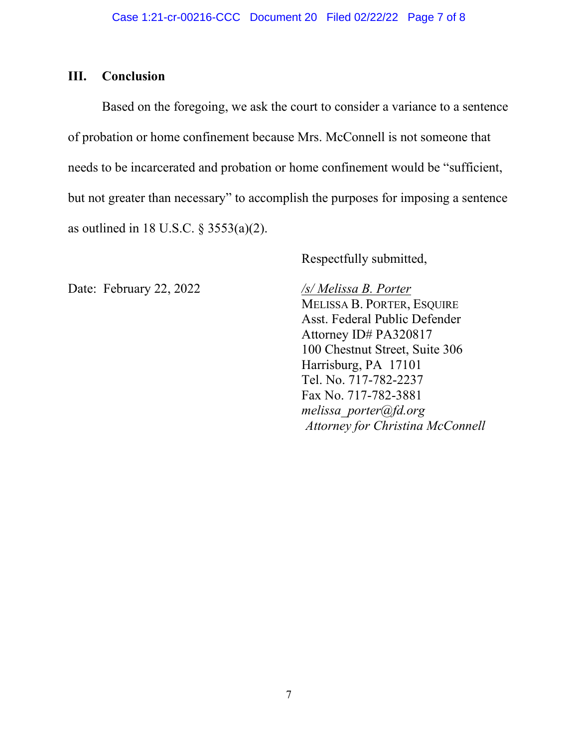# **III. Conclusion**

Based on the foregoing, we ask the court to consider a variance to a sentence of probation or home confinement because Mrs. McConnell is not someone that needs to be incarcerated and probation or home confinement would be "sufficient, but not greater than necessary" to accomplish the purposes for imposing a sentence as outlined in 18 U.S.C. § 3553(a)(2).

Respectfully submitted,

Date: February 22, 2022 */s/ Melissa B. Porter*

MELISSA B. PORTER, ESQUIRE Asst. Federal Public Defender Attorney ID# PA320817 100 Chestnut Street, Suite 306 Harrisburg, PA 17101 Tel. No. 717-782-2237 Fax No. 717-782-3881 *melissa\_porter@fd.org Attorney for Christina McConnell*